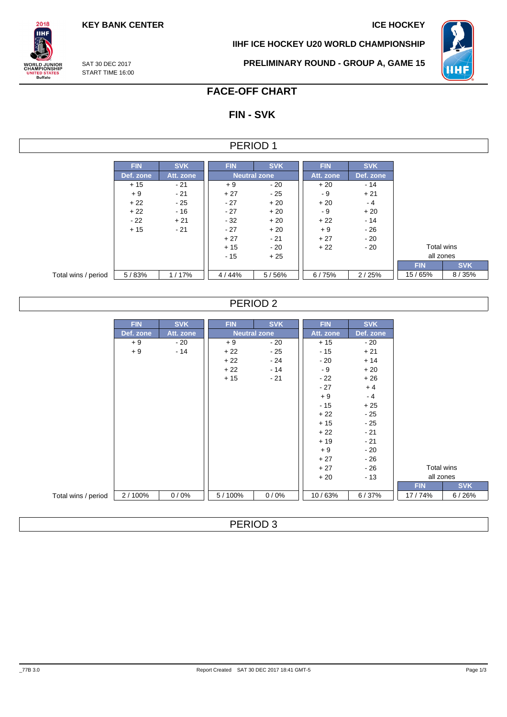**KEY BANK CENTER ICE HOCKEY** 

**IIHF ICE HOCKEY U20 WORLD CHAMPIONSHIP**



SAT 30 DEC 2017 START TIME 16:00

 $2018$ **IIHF** 

**ORLD JUNIOR**<br>HAMPIONSHIP

**ITED STATES**<br>Buffalo

**PRELIMINARY ROUND - GROUP A, GAME 15**

# **FACE-OFF CHART**

# **FIN - SVK**

### PERIOD 1

|                     | <b>FIN</b> | <b>SVK</b> | <b>FIN</b> | <b>SVK</b>          | <b>FIN</b> | <b>SVK</b> |  |
|---------------------|------------|------------|------------|---------------------|------------|------------|--|
|                     | Def. zone  | Att. zone  |            | <b>Neutral zone</b> | Att. zone  | Def. zone  |  |
|                     | $+15$      | $-21$      | $+9$       | - 20                | $+20$      | $-14$      |  |
|                     | $+9$       | $-21$      | $+27$      | - 25                | - 9        | $+21$      |  |
|                     | $+22$      | $-25$      | $-27$      | $+20$               | $+20$      | - 4        |  |
|                     | $+22$      | $-16$      | $-27$      | $+20$               | - 9        | $+20$      |  |
|                     | $-22$      | $+21$      | $-32$      | $+20$               | $+22$      | $-14$      |  |
|                     | $+15$      | $-21$      | $-27$      | $+20$               | $+9$       | $-26$      |  |
|                     |            |            | $+27$      | $-21$               | $+27$      | - 20       |  |
|                     |            |            | $+15$      | - 20                | $+22$      | - 20       |  |
|                     |            |            | $-15$      | $+25$               |            |            |  |
|                     |            |            |            |                     |            |            |  |
| Total wins / period | 5/83%      | 1/17%      | 4/44%      | 5/56%               | 6/75%      | 2/25%      |  |

### PERIOD 2

|                     | <b>FIN</b> | <b>SVK</b> | <b>FIN</b> | <b>SVK</b>          | <b>FIN</b> | <b>SVK</b> |            |            |
|---------------------|------------|------------|------------|---------------------|------------|------------|------------|------------|
|                     | Def. zone  | Att. zone  |            | <b>Neutral zone</b> | Att. zone  | Def. zone  |            |            |
|                     | $+9$       | $-20$      | $+9$       | $-20$               | $+15$      | $-20$      |            |            |
|                     | $+9$       | $-14$      | $+22$      | - 25                | $-15$      | $+21$      |            |            |
|                     |            |            | $+22$      | - 24                | $-20$      | $+14$      |            |            |
|                     |            |            | $+22$      | $-14$               | $-9$       | $+20$      |            |            |
|                     |            |            | $+15$      | $-21$               | $-22$      | $+26$      |            |            |
|                     |            |            |            |                     | $-27$      | $+4$       |            |            |
|                     |            |            |            |                     | $+9$       | $-4$       |            |            |
|                     |            |            |            |                     | $-15$      | $+25$      |            |            |
|                     |            |            |            |                     | $+22$      | $-25$      |            |            |
|                     |            |            |            |                     | $+15$      | $-25$      |            |            |
|                     |            |            |            |                     | $+22$      | $-21$      |            |            |
|                     |            |            |            |                     | $+19$      | $-21$      |            |            |
|                     |            |            |            |                     | $+9$       | $-20$      |            |            |
|                     |            |            |            |                     | $+27$      | $-26$      |            |            |
|                     |            |            |            |                     | $+27$      | - 26       | Total wins |            |
|                     |            |            |            |                     | $+20$      | $-13$      | all zones  |            |
|                     |            |            |            |                     |            |            | <b>FIN</b> | <b>SVK</b> |
| Total wins / period | 2/100%     | 0/0%       | 5/100%     | 0/0%                | 10/63%     | 6/37%      | 17/74%     | 6/26%      |

PERIOD 3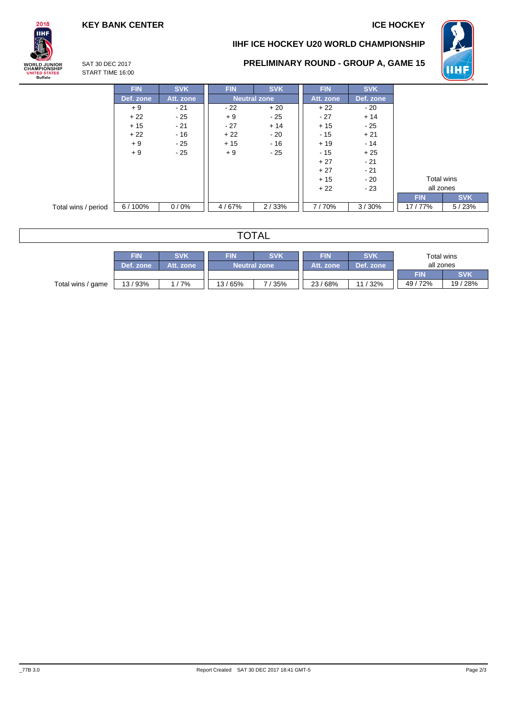**HHI** 

## **KEY BANK CENTER ICE HOCKEY**





## **PRELIMINARY ROUND - GROUP A, GAME 15**

SAT 30 DEC 2017 START TIME 16:00

|                     | <b>FIN</b> | <b>SVK</b> | <b>FIN</b>          | <b>SVK</b> | <b>FIN</b> | <b>SVK</b> |                          |
|---------------------|------------|------------|---------------------|------------|------------|------------|--------------------------|
|                     | Def. zone  | Att. zone  | <b>Neutral zone</b> |            | Att. zone  | Def. zone  |                          |
|                     | $+9$       | - 21       | $-22$               | $+20$      | $+22$      | $-20$      |                          |
|                     | $+22$      | $-25$      | $+9$                | $-25$      | $-27$      | $+14$      |                          |
|                     | $+15$      | $-21$      | $-27$               | $+14$      | $+15$      | $-25$      |                          |
|                     | $+22$      | $-16$      | $+22$               | - 20       | $-15$      | $+21$      |                          |
|                     | $+9$       | $-25$      | $+15$               | $-16$      | $+19$      | $-14$      |                          |
|                     | $+9$       | $-25$      | $+9$                | - 25       | $-15$      | $+25$      |                          |
|                     |            |            |                     |            | $+27$      | $-21$      |                          |
|                     |            |            |                     |            | $+27$      | $-21$      |                          |
|                     |            |            |                     |            | $+15$      | $-20$      | Total wins               |
|                     |            |            |                     |            | $+22$      | $-23$      | all zones                |
|                     |            |            |                     |            |            |            | <b>SVK</b><br><b>FIN</b> |
| Total wins / period | 6/100%     | 0/0%       | 4/67%               | 2/33%      | 7/70%      | 3/30%      | 17/77%<br>5/23%          |

## **TOTAL**

|                   | <b>FIN</b> | <b>SVK</b> | FIN                   | <b>SVK</b> | FIN       | <b>SVK</b> | Total wins |            |
|-------------------|------------|------------|-----------------------|------------|-----------|------------|------------|------------|
|                   | Def. zone  | Att. zone  | <b>Neutral zone</b> ! |            | Att. zone | Def. zone  | all zones  |            |
|                   |            |            |                       |            |           |            | <b>FIN</b> | <b>SVK</b> |
| Total wins / game | 13 / 93%   | 1/7%       | 13/65%                | 7/35%      | 23/68%    | 11 / 32%   | 49/72%     | 19 / 28%   |